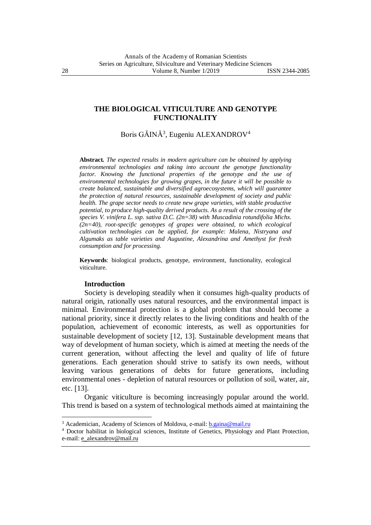### **THE BIOLOGICAL VITICULTURE AND GENOTYPE FUNCTIONALITY**

Boris GĂINĂ<sup>3</sup>, Eugeniu ALEXANDROV<sup>4</sup>

**Abstract***. The expected results in modern agriculture can be obtained by applying environmental technologies and taking into account the genotype functionality factor. Knowing the functional properties of the genotype and the use of environmental technologies for growing grapes, in the future it will be possible to create balanced, sustainable and diversified agroecosystems, which will guarantee the protection of natural resources, sustainable development of society and public health. The grape sector needs to create new grape varieties, with stable productive potential, to produce high-quality derived products. As a result of the crossing of the species V. vinifera L. ssp. sativa D.C. (2n=38) with Muscadinia rotundifolia Michx. (2n=40), root-specific genotypes of grapes were obtained, to which ecological cultivation technologies can be applied, for example: Malena, Nistryana and Algumaks as table varieties and Augustine, Alexandrina and Amethyst for fresh consumption and for processing.*

**Keywords**: biological products, genotype, environment, functionality, ecological viticulture.

# **Introduction**

1

Society is developing steadily when it consumes high-quality products of natural origin, rationally uses natural resources, and the environmental impact is minimal. Environmental protection is a global problem that should become a national priority, since it directly relates to the living conditions and health of the population, achievement of economic interests, as well as opportunities for sustainable development of society [12, 13]. Sustainable development means that way of development of human society, which is aimed at meeting the needs of the current generation, without affecting the level and quality of life of future generations. Each generation should strive to satisfy its own needs, without leaving various generations of debts for future generations, including environmental ones - depletion of natural resources or pollution of soil, water, air, etc. [13].

Organic viticulture is becoming increasingly popular around the world. This trend is based on a system of technological methods aimed at maintaining the

<sup>&</sup>lt;sup>3</sup> Academician, Academy of Sciences of Moldova, e-mail: **b.gaina@mail.ru** 

<sup>4</sup> Doctor habilitat in biological sciences, Institute of Genetics, Physiology and Plant Protection, e-mail: [e\\_alexandrov@mail.ru](mailto:e_alexandrov@mail.ru)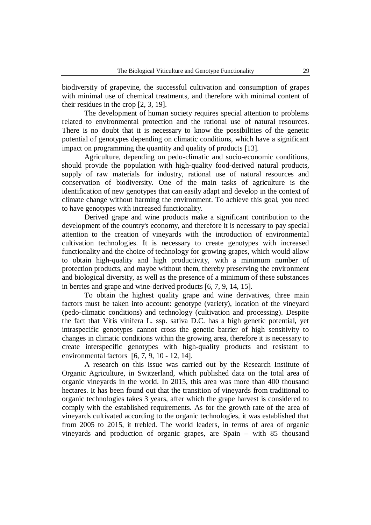biodiversity of grapevine, the successful cultivation and consumption of grapes with minimal use of chemical treatments, and therefore with minimal content of their residues in the crop [2, 3, 19].

The development of human society requires special attention to problems related to environmental protection and the rational use of natural resources. There is no doubt that it is necessary to know the possibilities of the genetic potential of genotypes depending on climatic conditions, which have a significant impact on programming the quantity and quality of products [13].

Agriculture, depending on pedo-climatic and socio-economic conditions, should provide the population with high-quality food-derived natural products, supply of raw materials for industry, rational use of natural resources and conservation of biodiversity. One of the main tasks of agriculture is the identification of new genotypes that can easily adapt and develop in the context of climate change without harming the environment. To achieve this goal, you need to have genotypes with increased functionality.

Derived grape and wine products make a significant contribution to the development of the country's economy, and therefore it is necessary to pay special attention to the creation of vineyards with the introduction of environmental cultivation technologies. It is necessary to create genotypes with increased functionality and the choice of technology for growing grapes, which would allow to obtain high-quality and high productivity, with a minimum number of protection products, and maybe without them, thereby preserving the environment and biological diversity, as well as the presence of a minimum of these substances in berries and grape and wine-derived products  $[6, 7, 9, 14, 15]$ .

To obtain the highest quality grape and wine derivatives, three main factors must be taken into account: genotype (variety), location of the vineyard (pedo-climatic conditions) and technology (cultivation and processing). Despite the fact that Vitis vinifera L. ssp. sativa D.C. has a high genetic potential, yet intraspecific genotypes cannot cross the genetic barrier of high sensitivity to changes in climatic conditions within the growing area, therefore it is necessary to create interspecific genotypes with high-quality products and resistant to environmental factors  $[6, 7, 9, 10 - 12, 14]$ .

A research on this issue was carried out by the Research Institute of Organic Agriculture, in Switzerland, which published data on the total area of organic vineyards in the world. In 2015, this area was more than 400 thousand hectares. It has been found out that the transition of vineyards from traditional to organic technologies takes 3 years, after which the grape harvest is considered to comply with the established requirements. As for the growth rate of the area of vineyards cultivated according to the organic technologies, it was established that from 2005 to 2015, it trebled. The world leaders, in terms of area of organic vineyards and production of organic grapes, are Spain – with 85 thousand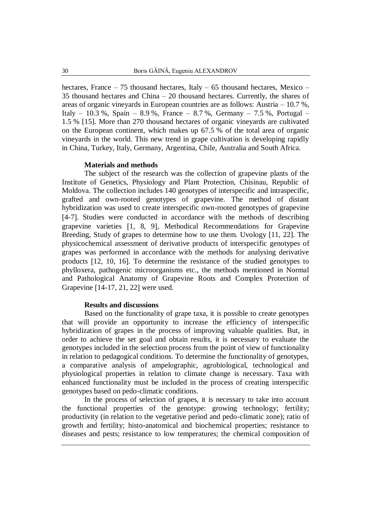hectares, France – 75 thousand hectares, Italy – 65 thousand hectares, Mexico – 35 thousand hectares and China – 20 thousand hectares. Currently, the shares of areas of organic vineyards in European countries are as follows: Austria – 10.7 %, Italy – 10.3 %, Spain – 8.9 %, France – 8.7 %, Germany – 7.5 %, Portugal – 1.5 % [15]. More than 270 thousand hectares of organic vineyards are cultivated on the European continent, which makes up 67.5 % of the total area of organic vineyards in the world. This new trend in grape cultivation is developing rapidly in China, Turkey, Italy, Germany, Argentina, Chile, Australia and South Africa.

#### **Materials and methods**

The subject of the research was the collection of grapevine plants of the Institute of Genetics, Physiology and Plant Protection, Chisinau, Republic of Moldova. The collection includes 140 genotypes of interspecific and intraspecific, grafted and own-rooted genotypes of grapevine. The method of distant hybridization was used to create interspecific own-rooted genotypes of grapevine [4-7]. Studies were conducted in accordance with the methods of describing grapevine varieties 1, 8, 9, Methodical Recommendations for Grapevine Breeding, Study of grapes to determine how to use them. Uvology [11, 22]. The physicochemical assessment of derivative products of interspecific genotypes of grapes was performed in accordance with the methods for analysing derivative products 12, 10, 16. To determine the resistance of the studied genotypes to phylloxera, pathogenic microorganisms etc., the methods mentioned in Normal and Pathological Anatomy of Grapevine Roots and Complex Protection of Grapevine [14-17, 21, 22] were used.

# **Results and discussions**

Based on the functionality of grape taxa, it is possible to create genotypes that will provide an opportunity to increase the efficiency of interspecific hybridization of grapes in the process of improving valuable qualities. But, in order to achieve the set goal and obtain results, it is necessary to evaluate the genotypes included in the selection process from the point of view of functionality in relation to pedagogical conditions. To determine the functionality of genotypes, a comparative analysis of ampelographic, agrobiological, technological and physiological properties in relation to climate change is necessary. Taxa with enhanced functionality must be included in the process of creating interspecific genotypes based on pedo-climatic conditions.

In the process of selection of grapes, it is necessary to take into account the functional properties of the genotype: growing technology; fertility; productivity (in relation to the vegetative period and pedo-climatic zone); ratio of growth and fertility; histo-anatomical and biochemical properties; resistance to diseases and pests; resistance to low temperatures; the chemical composition of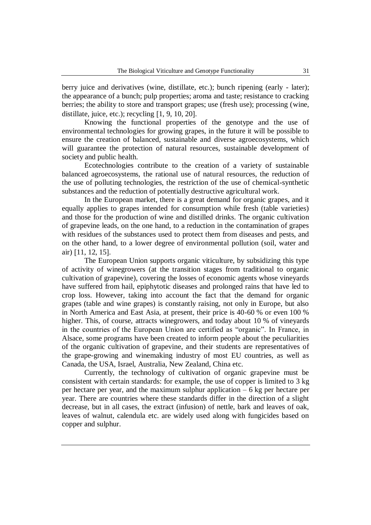berry juice and derivatives (wine, distillate, etc.); bunch ripening (early - later); the appearance of a bunch; pulp properties; aroma and taste; resistance to cracking berries; the ability to store and transport grapes; use (fresh use); processing (wine, distillate, juice, etc.); recycling  $[1, 9, 10, 20]$ .

Knowing the functional properties of the genotype and the use of environmental technologies for growing grapes, in the future it will be possible to ensure the creation of balanced, sustainable and diverse agroecosystems, which will guarantee the protection of natural resources, sustainable development of society and public health.

Ecotechnologies contribute to the creation of a variety of sustainable balanced agroecosystems, the rational use of natural resources, the reduction of the use of polluting technologies, the restriction of the use of chemical-synthetic substances and the reduction of potentially destructive agricultural work.

In the European market, there is a great demand for organic grapes, and it equally applies to grapes intended for consumption while fresh (table varieties) and those for the production of wine and distilled drinks. The organic cultivation of grapevine leads, on the one hand, to a reduction in the contamination of grapes with residues of the substances used to protect them from diseases and pests, and on the other hand, to a lower degree of environmental pollution (soil, water and air) [11, 12, 15].

The European Union supports organic viticulture, by subsidizing this type of activity of winegrowers (at the transition stages from traditional to organic cultivation of grapevine), covering the losses of economic agents whose vineyards have suffered from hail, epiphytotic diseases and prolonged rains that have led to crop loss. However, taking into account the fact that the demand for organic grapes (table and wine grapes) is constantly raising, not only in Europe, but also in North America and East Asia, at present, their price is 40-60 % or even 100 % higher. This, of course, attracts winegrowers, and today about 10 % of vineyards in the countries of the European Union are certified as "organic". In France, in Alsace, some programs have been created to inform people about the peculiarities of the organic cultivation of grapevine, and their students are representatives of the grape-growing and winemaking industry of most EU countries, as well as Canada, the USA, Israel, Australia, New Zealand, China etc.

Currently, the technology of cultivation of organic grapevine must be consistent with certain standards: for example, the use of copper is limited to 3 kg per hectare per year, and the maximum sulphur application – 6 kg per hectare per year. There are countries where these standards differ in the direction of a slight decrease, but in all cases, the extract (infusion) of nettle, bark and leaves of oak, leaves of walnut, calendula etc. are widely used along with fungicides based on copper and sulphur.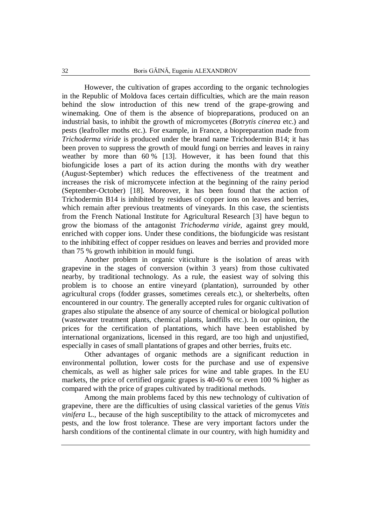However, the cultivation of grapes according to the organic technologies in the Republic of Moldova faces certain difficulties, which are the main reason behind the slow introduction of this new trend of the grape-growing and winemaking. One of them is the absence of biopreparations, produced on an industrial basis, to inhibit the growth of micromycetes (*Botrytis cinerea* etc.) and pests (leafroller moths etc.). For example, in France, a biopreparation made from *Trichoderma viride* is produced under the brand name Trichodermin B14; it has been proven to suppress the growth of mould fungi on berries and leaves in rainy weather by more than 60 % [13]. However, it has been found that this biofungicide loses a part of its action during the months with dry weather (August-September) which reduces the effectiveness of the treatment and increases the risk of micromycete infection at the beginning of the rainy period (September-October) [18]. Moreover, it has been found that the action of Trichodermin B14 is inhibited by residues of copper ions on leaves and berries, which remain after previous treatments of vineyards. In this case, the scientists from the French National Institute for Agricultural Research [3] have begun to grow the biomass of the antagonist *Trichoderma viride*, against grey mould, enriched with copper ions. Under these conditions, the biofungicide was resistant to the inhibiting effect of copper residues on leaves and berries and provided more than 75 % growth inhibition in mould fungi.

Another problem in organic viticulture is the isolation of areas with grapevine in the stages of conversion (within 3 years) from those cultivated nearby, by traditional technology. As a rule, the easiest way of solving this problem is to choose an entire vineyard (plantation), surrounded by other agricultural crops (fodder grasses, sometimes cereals etc.), or shelterbelts, often encountered in our country. The generally accepted rules for organic cultivation of grapes also stipulate the absence of any source of chemical or biological pollution (wastewater treatment plants, chemical plants, landfills etc.). In our opinion, the prices for the certification of plantations, which have been established by international organizations, licensed in this regard, are too high and unjustified, especially in cases of small plantations of grapes and other berries, fruits etc.

Other advantages of organic methods are a significant reduction in environmental pollution, lower costs for the purchase and use of expensive chemicals, as well as higher sale prices for wine and table grapes. In the EU markets, the price of certified organic grapes is 40-60 % or even 100 % higher as compared with the price of grapes cultivated by traditional methods.

Among the main problems faced by this new technology of cultivation of grapevine, there are the difficulties of using classical varieties of the genus *Vitis vinifera* L., because of the high susceptibility to the attack of micromycetes and pests, and the low frost tolerance. These are very important factors under the harsh conditions of the continental climate in our country, with high humidity and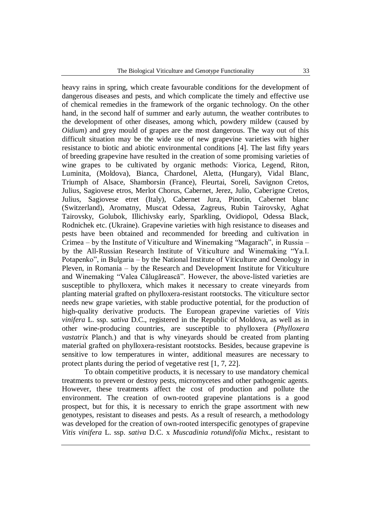heavy rains in spring, which create favourable conditions for the development of dangerous diseases and pests, and which complicate the timely and effective use of chemical remedies in the framework of the organic technology. On the other hand, in the second half of summer and early autumn, the weather contributes to the development of other diseases, among which, powdery mildew (caused by *Oidium*) and grey mould of grapes are the most dangerous. The way out of this difficult situation may be the wide use of new grapevine varieties with higher resistance to biotic and abiotic environmental conditions [4]. The last fifty years of breeding grapevine have resulted in the creation of some promising varieties of wine grapes to be cultivated by organic methods: Viorica, Legend, Riton, Luminita, (Moldova), Bianca, Chardonel, Aletta, (Hungary), Vidal Blanc, Triumph of Alsace, Shamborsin (France), Fleurtai, Soreli, Savignon Cretos, Julius, Sagiovese etros, Merlot Chorus, Cabernet, Jerez, Julio, Caberigne Cretos, Julius, Sagiovese etret (Italy), Cabernet Jura, Pinotin, Cabernet blanc (Switzerland), Aromatny, Muscat Odessa, Zagreus, Rubin Tairovsky, Aghat Tairovsky, Golubok, Illichivsky early, Sparkling, Ovidiopol, Odessa Black, Rodnichek etc. (Ukraine). Grapevine varieties with high resistance to diseases and pests have been obtained and recommended for breeding and cultivation in Crimea – by the Institute of Viticulture and Winemaking "Magarach", in Russia – by the All-Russian Research Institute of Viticulture and Winemaking "Ya.I. Potapenko", in Bulgaria – by the National Institute of Viticulture and Oenology in Pleven, in Romania – by the Research and Development Institute for Viticulture and Winemaking "Valea Călugărească". However, the above-listed varieties are susceptible to phylloxera, which makes it necessary to create vineyards from planting material grafted on phylloxera-resistant rootstocks. The viticulture sector needs new grape varieties, with stable productive potential, for the production of high-quality derivative products. The European grapevine varieties of *Vitis vinifera* L. ssp. *sativa* D.C., registered in the Republic of Moldova, as well as in other wine-producing countries, are susceptible to phylloxera (*Phylloxera vastatrix* Planch.) and that is why vineyards should be created from planting material grafted on phylloxera-resistant rootstocks. Besides, because grapevine is sensitive to low temperatures in winter, additional measures are necessary to protect plants during the period of vegetative rest  $[1, 7, 22]$ .

To obtain competitive products, it is necessary to use mandatory chemical treatments to prevent or destroy pests, micromycetes and other pathogenic agents. However, these treatments affect the cost of production and pollute the environment. The creation of own-rooted grapevine plantations is a good prospect, but for this, it is necessary to enrich the grape assortment with new genotypes, resistant to diseases and pests. As a result of research, a methodology was developed for the creation of own-rooted interspecific genotypes of grapevine *Vitis vinifera* L. ssp. *sativa* D.C. x *Muscadinia rotundifolia* Michx., resistant to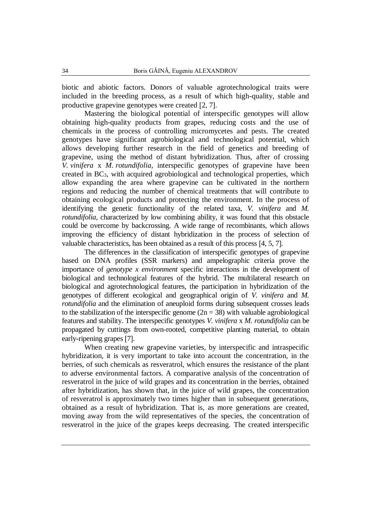biotic and abiotic factors. Donors of valuable agrotechnological traits were included in the breeding process, as a result of which high-quality, stable and productive grapevine genotypes were created  $[2, 7]$ .

Mastering the biological potential of interspecific genotypes will allow obtaining high-quality products from grapes, reducing costs and the use of chemicals in the process of controlling micromycetes and pests. The created genotypes have significant agrobiological and technological potential, which allows developing further research in the field of genetics and breeding of grapevine, using the method of distant hybridization. Thus, after of crossing *V. vinifera* x *M. rotundifolia*, interspecific genotypes of grapevine have been created in BC3, with acquired agrobiological and technological properties, which allow expanding the area where grapevine can be cultivated in the northern regions and reducing the number of chemical treatments that will contribute to obtaining ecological products and protecting the environment. In the process of identifying the genetic functionality of the related taxa, *V. vinifera* and *M. rotundifolia*, characterized by low combining ability, it was found that this obstacle could be overcome by backcrossing. A wide range of recombinants, which allows improving the efficiency of distant hybridization in the process of selection of valuable characteristics, has been obtained as a result of this process [4, 5, 7].

The differences in the classification of interspecific genotypes of grapevine based on DNA profiles (SSR markers) and ampelographic criteria prove the importance of *genotype x environment* specific interactions in the development of biological and technological features of the hybrid. The multilateral research on biological and agrotechnological features, the participation in hybridization of the genotypes of different ecological and geographical origin of *V. vinifera* and *M. rotundifolia* and the elimination of aneuploid forms during subsequent crosses leads to the stabilization of the interspecific genome  $(2n = 38)$  with valuable agrobiological features and stability. The interspecific genotypes *V. vinifera* x *M. rotundifolia* can be propagated by cuttings from own-rooted, competitive planting material, to obtain early-ripening grapes [7].

When creating new grapevine varieties, by interspecific and intraspecific hybridization, it is very important to take into account the concentration, in the berries, of such chemicals as resveratrol, which ensures the resistance of the plant to adverse environmental factors. A comparative analysis of the concentration of resveratrol in the juice of wild grapes and its concentration in the berries, obtained after hybridization, has shown that, in the juice of wild grapes, the concentration of resveratrol is approximately two times higher than in subsequent generations, obtained as a result of hybridization. That is, as more generations are created, moving away from the wild representatives of the species, the concentration of resveratrol in the juice of the grapes keeps decreasing. The created interspecific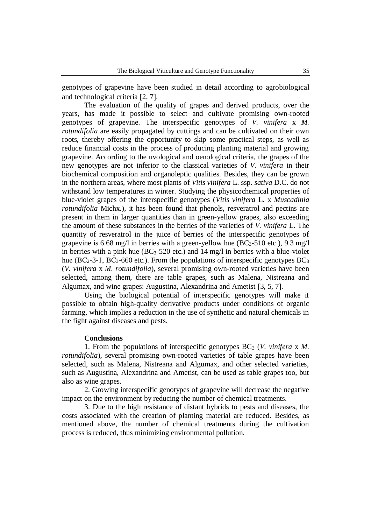genotypes of grapevine have been studied in detail according to agrobiological and technological criteria [2, 7].

The evaluation of the quality of grapes and derived products, over the years, has made it possible to select and cultivate promising own-rooted genotypes of grapevine. The interspecific genotypes of *V. vinifera* x *M. rotundifolia* are easily propagated by cuttings and can be cultivated on their own roots, thereby offering the opportunity to skip some practical steps, as well as reduce financial costs in the process of producing planting material and growing grapevine. According to the uvological and oenological criteria, the grapes of the new genotypes are not inferior to the classical varieties of *V. vinifera* in their biochemical composition and organoleptic qualities. Besides, they can be grown in the northern areas, where most plants of *Vitis vinifera* L. ssp. *sativa* D.C. do not withstand low temperatures in winter. Studying the physicochemical properties of blue-violet grapes of the interspecific genotypes (*Vitis vinifera* L. x *Muscadinia rotundifolia* Michx.), it has been found that phenols, resveratrol and pectins are present in them in larger quantities than in green-yellow grapes, also exceeding the amount of these substances in the berries of the varieties of *V. vinifera* L. The quantity of resveratrol in the juice of berries of the interspecific genotypes of grapevine is 6.68 mg/l in berries with a green-yellow hue  $(BC<sub>3</sub>-510$  etc.), 9.3 mg/l in berries with a pink hue  $(BC_3-520$  etc.) and 14 mg/l in berries with a blue-violet hue ( $BC_2$ -3-1,  $BC_3$ -660 etc.). From the populations of interspecific genotypes  $BC_3$ (*V. vinifera* x *M. rotundifolia*), several promising own-rooted varieties have been selected, among them, there are table grapes, such as Malena, Nistreana and Algumax, and wine grapes: Augustina, Alexandrina and Ametist [3, 5, 7].

Using the biological potential of interspecific genotypes will make it possible to obtain high-quality derivative products under conditions of organic farming, which implies a reduction in the use of synthetic and natural chemicals in the fight against diseases and pests.

### **Conclusions**

1. From the populations of interspecific genotypes BC<sub>3</sub> (*V. vinifera x M. rotundifolia*), several promising own-rooted varieties of table grapes have been selected, such as Malena, Nistreana and Algumax, and other selected varieties, such as Augustina, Alexandrina and Ametist, can be used as table grapes too, but also as wine grapes.

2. Growing interspecific genotypes of grapevine will decrease the negative impact on the environment by reducing the number of chemical treatments.

3. Due to the high resistance of distant hybrids to pests and diseases, the costs associated with the creation of planting material are reduced. Besides, as mentioned above, the number of chemical treatments during the cultivation process is reduced, thus minimizing environmental pollution.